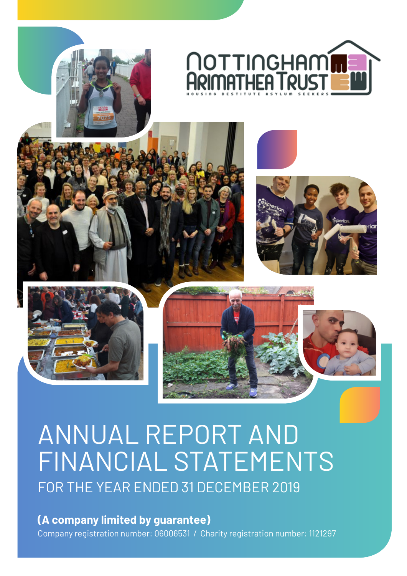











# ANNUAL REPORT AND FINANCIAL STATEMENTS FOR THE YEAR ENDED 31 DECEMBER 2019

**(A company limited by guarantee)** Company registration number: 06006531 / Charity registration number: 1121297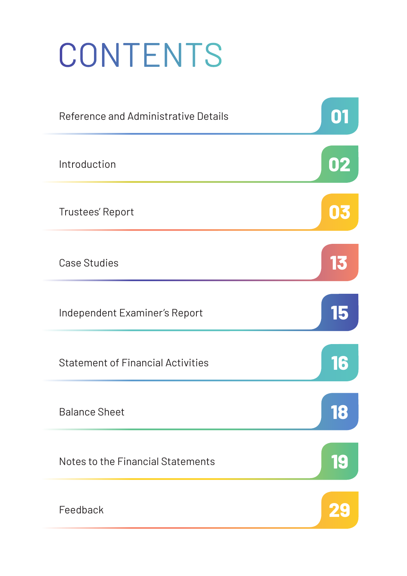# **CONTENTS**

| Reference and Administrative Details     | 01 |
|------------------------------------------|----|
| Introduction                             | 02 |
| Trustees' Report                         | 03 |
| <b>Case Studies</b>                      | 13 |
| Independent Examiner's Report            | 15 |
| <b>Statement of Financial Activities</b> | 16 |
| <b>Balance Sheet</b>                     | 18 |
| Notes to the Financial Statements        | 19 |
| Feedback                                 |    |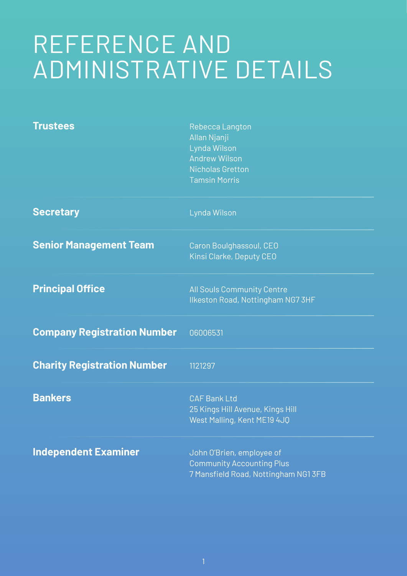# REFERENCE AND ADMINISTRATIVE DETAILS

| <b>Trustees</b>                    | Rebecca Langton<br>Allan Njanji<br>Lynda Wilson<br><b>Andrew Wilson</b><br><b>Nicholas Gretton</b><br><b>Tamsin Morris</b> |
|------------------------------------|----------------------------------------------------------------------------------------------------------------------------|
| <b>Secretary</b>                   | Lynda Wilson                                                                                                               |
| <b>Senior Management Team</b>      | Caron Boulghassoul, CEO<br>Kinsi Clarke, Deputy CEO                                                                        |
| <b>Principal Office</b>            | <b>All Souls Community Centre</b><br>Ilkeston Road, Nottingham NG7 3HF                                                     |
| <b>Company Registration Number</b> | 06006531                                                                                                                   |
| <b>Charity Registration Number</b> | 1121297                                                                                                                    |
| <b>Bankers</b>                     | <b>CAF Bank Ltd</b><br>25 Kings Hill Avenue, Kings Hill<br>West Malling, Kent ME19 4JQ                                     |
| <b>Independent Examiner</b>        | John O'Brien, employee of<br><b>Community Accounting Plus</b><br>7 Mansfield Road, Nottingham NG1 3FB                      |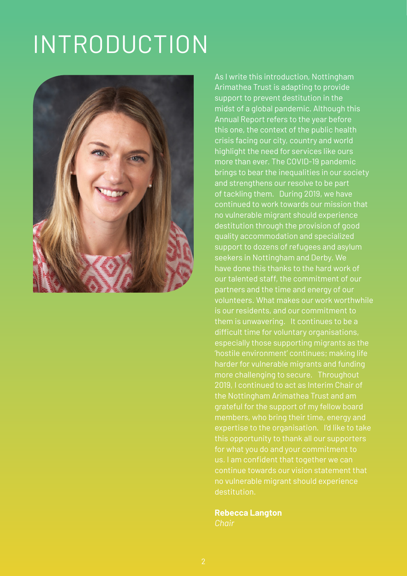# INTRODUCTION



As I write this introduction, Nottingham Arimathea Trust is adapting to provide support to prevent destitution in the midst of a global pandemic. Although this this one, the context of the public health crisis facing our city, country and world highlight the need for services like ours more than ever. The COVID-19 pandemic brings to bear the inequalities in our society of tackling them. During 2019, we have continued to work towards our mission that no vulnerable migrant should experience destitution through the provision of good quality accommodation and specialized support to dozens of refugees and asylum seekers in Nottingham and Derby. We have done this thanks to the hard work of our talented staff, the commitment of our partners and the time and energy of our volunteers. What makes our work worthwhile them is unwavering. It continues to be a difficult time for voluntary organisations, especially those supporting migrants as the 2019, I continued to act as Interim Chair of expertise to the organisation. I'd like to take continue towards our vision statement that

**Rebecca Langton**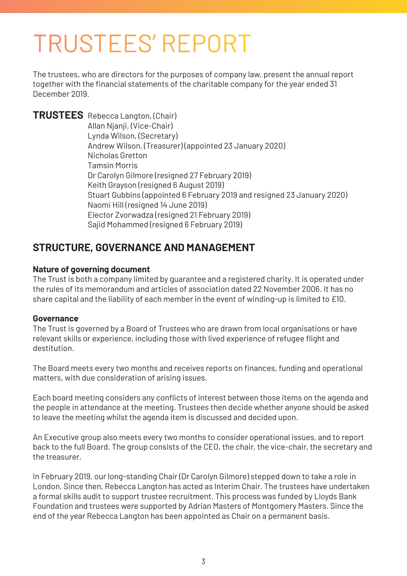# TRUSTEES' REPORT

The trustees, who are directors for the purposes of company law, present the annual report together with the financial statements of the charitable company for the year ended 31 December 2019.

**TRUSTEES** Rebecca Langton, (Chair) Allan Njanji, (Vice-Chair) Lynda Wilson, (Secretary) Andrew Wilson, (Treasurer) (appointed 23 January 2020) Nicholas Gretton Tamsin Morris Dr Carolyn Gilmore (resigned 27 February 2019) Keith Grayson (resigned 6 August 2019) Stuart Gubbins (appointed 6 February 2019 and resigned 23 January 2020) Naomi Hill (resigned 14 June 2019) Elector Zvorwadza (resigned 21 February 2019) Sajid Mohammed (resigned 6 February 2019)

# **STRUCTURE, GOVERNANCE AND MANAGEMENT**

### **Nature of governing document**

The Trust is both a company limited by guarantee and a registered charity. It is operated under the rules of its memorandum and articles of association dated 22 November 2006. It has no share capital and the liability of each member in the event of winding-up is limited to £10.

### **Governance**

The Trust is governed by a Board of Trustees who are drawn from local organisations or have relevant skills or experience, including those with lived experience of refugee flight and destitution.

The Board meets every two months and receives reports on finances, funding and operational matters, with due consideration of arising issues.

Each board meeting considers any conflicts of interest between those items on the agenda and the people in attendance at the meeting. Trustees then decide whether anyone should be asked to leave the meeting whilst the agenda item is discussed and decided upon.

An Executive group also meets every two months to consider operational issues, and to report back to the full Board. The group consists of the CEO, the chair, the vice-chair, the secretary and the treasurer.

In February 2019, our long-standing Chair (Dr Carolyn Gilmore) stepped down to take a role in London. Since then, Rebecca Langton has acted as Interim Chair. The trustees have undertaken a formal skills audit to support trustee recruitment. This process was funded by Lloyds Bank Foundation and trustees were supported by Adrian Masters of Montgomery Masters. Since the end of the year Rebecca Langton has been appointed as Chair on a permanent basis.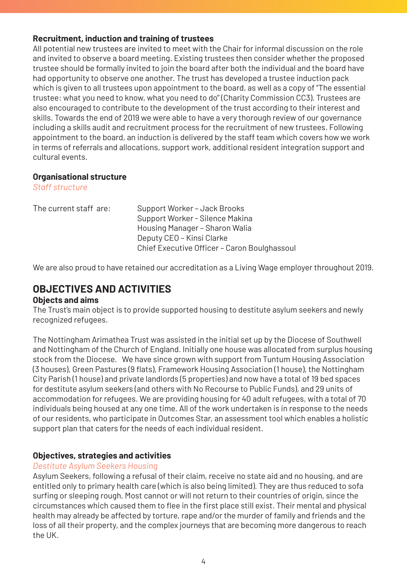### **Recruitment, induction and training of trustees**

All potential new trustees are invited to meet with the Chair for informal discussion on the role and invited to observe a board meeting. Existing trustees then consider whether the proposed trustee should be formally invited to join the board after both the individual and the board have had opportunity to observe one another. The trust has developed a trustee induction pack which is given to all trustees upon appointment to the board, as well as a copy of "The essential trustee: what you need to know, what you need to do" (Charity Commission CC3). Trustees are also encouraged to contribute to the development of the trust according to their interest and skills. Towards the end of 2019 we were able to have a very thorough review of our governance including a skills audit and recruitment process for the recruitment of new trustees. Following appointment to the board, an induction is delivered by the staff team which covers how we work in terms of referrals and allocations, support work, additional resident integration support and cultural events.

### **Organisational structure**

*Staff structure* 

| The current staff are: | Support Worker - Jack Brooks                 |
|------------------------|----------------------------------------------|
|                        | Support Worker - Silence Makina              |
|                        | Housing Manager - Sharon Walia               |
|                        | Deputy CEO - Kinsi Clarke                    |
|                        | Chief Executive Officer - Caron Boulghassoul |

We are also proud to have retained our accreditation as a Living Wage employer throughout 2019.

# **OBJECTIVES AND ACTIVITIES**

### **Objects and aims**

The Trust's main object is to provide supported housing to destitute asylum seekers and newly recognized refugees.

The Nottingham Arimathea Trust was assisted in the initial set up by the Diocese of Southwell and Nottingham of the Church of England. Initially one house was allocated from surplus housing stock from the Diocese. We have since grown with support from Tuntum Housing Association (3 houses), Green Pastures (9 flats), Framework Housing Association (1 house), the Nottingham City Parish (1 house) and private landlords (5 properties) and now have a total of 19 bed spaces for destitute asylum seekers (and others with No Recourse to Public Funds), and 29 units of accommodation for refugees. We are providing housing for 40 adult refugees, with a total of 70 individuals being housed at any one time. All of the work undertaken is in response to the needs of our residents, who participate in Outcomes Star, an assessment tool which enables a holistic support plan that caters for the needs of each individual resident.

### **Objectives, strategies and activities**

### *Destitute Asylum Seekers Housing*

Asylum Seekers, following a refusal of their claim, receive no state aid and no housing, and are entitled only to primary health care (which is also being limited). They are thus reduced to sofa surfing or sleeping rough. Most cannot or will not return to their countries of origin, since the circumstances which caused them to flee in the first place still exist. Their mental and physical health may already be affected by torture, rape and/or the murder of family and friends and the loss of all their property, and the complex journeys that are becoming more dangerous to reach the UK.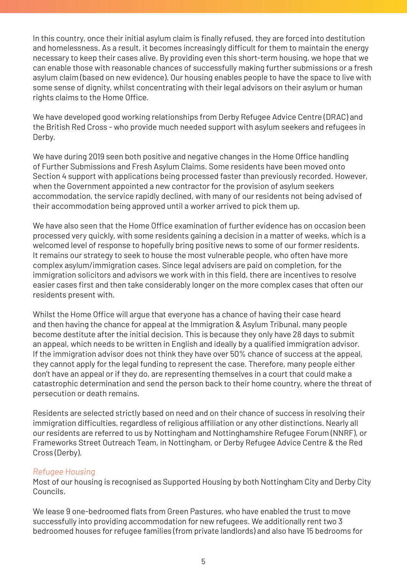In this country, once their initial asylum claim is finally refused, they are forced into destitution and homelessness. As a result, it becomes increasingly difficult for them to maintain the energy necessary to keep their cases alive. By providing even this short-term housing, we hope that we can enable those with reasonable chances of successfully making further submissions or a fresh asylum claim (based on new evidence). Our housing enables people to have the space to live with some sense of dignity, whilst concentrating with their legal advisors on their asylum or human rights claims to the Home Office.

We have developed good working relationships from Derby Refugee Advice Centre (DRAC) and the British Red Cross - who provide much needed support with asylum seekers and refugees in Derby.

We have during 2019 seen both positive and negative changes in the Home Office handling of Further Submissions and Fresh Asylum Claims. Some residents have been moved onto Section 4 support with applications being processed faster than previously recorded. However, when the Government appointed a new contractor for the provision of asylum seekers accommodation, the service rapidly declined, with many of our residents not being advised of their accommodation being approved until a worker arrived to pick them up.

We have also seen that the Home Office examination of further evidence has on occasion been processed very quickly, with some residents gaining a decision in a matter of weeks, which is a welcomed level of response to hopefully bring positive news to some of our former residents. It remains our strategy to seek to house the most vulnerable people, who often have more complex asylum/immigration cases. Since legal advisers are paid on completion, for the immigration solicitors and advisors we work with in this field, there are incentives to resolve easier cases first and then take considerably longer on the more complex cases that often our residents present with.

Whilst the Home Office will argue that everyone has a chance of having their case heard and then having the chance for appeal at the Immigration & Asylum Tribunal, many people become destitute after the initial decision. This is because they only have 28 days to submit an appeal, which needs to be written in English and ideally by a qualified immigration advisor. If the immigration advisor does not think they have over 50% chance of success at the appeal, they cannot apply for the legal funding to represent the case. Therefore, many people either don't have an appeal or if they do, are representing themselves in a court that could make a catastrophic determination and send the person back to their home country, where the threat of persecution or death remains.

Residents are selected strictly based on need and on their chance of success in resolving their immigration difficulties, regardless of religious affiliation or any other distinctions. Nearly all our residents are referred to us by Nottingham and Nottinghamshire Refugee Forum (NNRF), or Frameworks Street Outreach Team, in Nottingham, or Derby Refugee Advice Centre & the Red Cross (Derby).

### *Refugee Housing*

Most of our housing is recognised as Supported Housing by both Nottingham City and Derby City Councils.

We lease 9 one-bedroomed flats from Green Pastures, who have enabled the trust to move successfully into providing accommodation for new refugees. We additionally rent two 3 bedroomed houses for refugee families (from private landlords) and also have 15 bedrooms for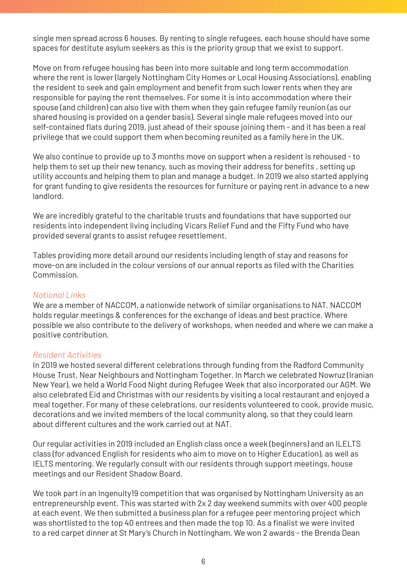single men spread across 6 houses. By renting to single refugees, each house should have some spaces for destitute asylum seekers as this is the priority group that we exist to support.

Move on from refugee housing has been into more suitable and long term accommodation where the rent is lower (largely Nottingham City Homes or Local Housing Associations), enabling the resident to seek and gain employment and benefit from such lower rents when they are responsible for paying the rent themselves. For some it is into accommodation where their spouse (and children) can also live with them when they gain refugee family reunion (as our shared housing is provided on a gender basis). Several single male refugees moved into our self-contained flats during 2019, just ahead of their spouse joining them - and it has been a real privilege that we could support them when becoming reunited as a family here in the UK.

We also continue to provide up to 3 months move on support when a resident is rehoused - to help them to set up their new tenancy, such as moving their address for benefits , setting up utility accounts and helping them to plan and manage a budget. In 2019 we also started applying for grant funding to give residents the resources for furniture or paying rent in advance to a new landlord.

We are incredibly grateful to the charitable trusts and foundations that have supported our residents into independent living including Vicars Relief Fund and the Fifty Fund who have provided several grants to assist refugee resettlement.

Tables providing more detail around our residents including length of stay and reasons for move-on are included in the colour versions of our annual reports as filed with the Charities Commission.

### *National Links*

We are a member of NACCOM, a nationwide network of similar organisations to NAT. NACCOM holds regular meetings & conferences for the exchange of ideas and best practice. Where possible we also contribute to the delivery of workshops, when needed and where we can make a positive contribution.

### *Resident Activities*

In 2019 we hosted several different celebrations through funding from the Radford Community House Trust, Near Neighbours and Nottingham Together. In March we celebrated Nowruz (Iranian New Year), we held a World Food Night during Refugee Week that also incorporated our AGM. We also celebrated Eid and Christmas with our residents by visiting a local restaurant and enjoyed a meal together. For many of these celebrations, our residents volunteered to cook, provide music, decorations and we invited members of the local community along, so that they could learn about different cultures and the work carried out at NAT.

Our regular activities in 2019 included an English class once a week (beginners) and an ILELTS class (for advanced English for residents who aim to move on to Higher Education), as well as IELTS mentoring. We regularly consult with our residents through support meetings, house meetings and our Resident Shadow Board.

We took part in an Ingenuity19 competition that was organised by Nottingham University as an entrepreneurship event. This was started with 2x 2 day weekend summits with over 400 people at each event. We then submitted a business plan for a refugee peer mentoring project which was shortlisted to the top 40 entrees and then made the top 10. As a finalist we were invited to a red carpet dinner at St Mary's Church in Nottingham. We won 2 awards - the Brenda Dean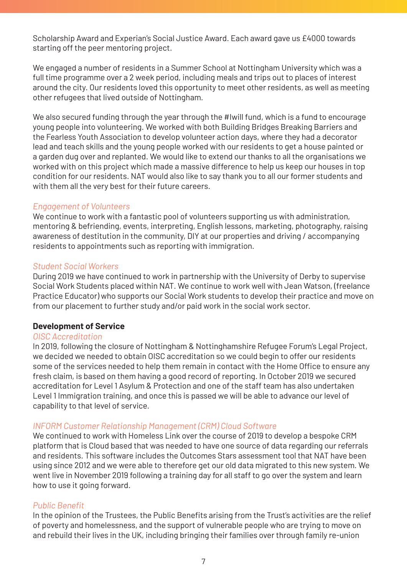Scholarship Award and Experian's Social Justice Award. Each award gave us £4000 towards starting off the peer mentoring project.

We engaged a number of residents in a Summer School at Nottingham University which was a full time programme over a 2 week period, including meals and trips out to places of interest around the city. Our residents loved this opportunity to meet other residents, as well as meeting other refugees that lived outside of Nottingham.

We also secured funding through the year through the #Iwill fund, which is a fund to encourage young people into volunteering. We worked with both Building Bridges Breaking Barriers and the Fearless Youth Association to develop volunteer action days, where they had a decorator lead and teach skills and the young people worked with our residents to get a house painted or a garden dug over and replanted. We would like to extend our thanks to all the organisations we worked with on this project which made a massive difference to help us keep our houses in top condition for our residents. NAT would also like to say thank you to all our former students and with them all the very best for their future careers.

### *Engagement of Volunteers*

We continue to work with a fantastic pool of volunteers supporting us with administration, mentoring & befriending, events, interpreting, English lessons, marketing, photography, raising awareness of destitution in the community, DIY at our properties and driving / accompanying residents to appointments such as reporting with immigration.

### *Student Social Workers*

During 2019 we have continued to work in partnership with the University of Derby to supervise Social Work Students placed within NAT. We continue to work well with Jean Watson, (freelance Practice Educator) who supports our Social Work students to develop their practice and move on from our placement to further study and/or paid work in the social work sector.

### **Development of Service**

### *OISC Accreditation*

In 2019, following the closure of Nottingham & Nottinghamshire Refugee Forum's Legal Project, we decided we needed to obtain OISC accreditation so we could begin to offer our residents some of the services needed to help them remain in contact with the Home Office to ensure any fresh claim, is based on them having a good record of reporting. In October 2019 we secured accreditation for Level 1 Asylum & Protection and one of the staff team has also undertaken Level 1 Immigration training, and once this is passed we will be able to advance our level of capability to that level of service.

### *INFORM Customer Relationship Management (CRM) Cloud Software*

We continued to work with Homeless Link over the course of 2019 to develop a bespoke CRM platform that is Cloud based that was needed to have one source of data regarding our referrals and residents. This software includes the Outcomes Stars assessment tool that NAT have been using since 2012 and we were able to therefore get our old data migrated to this new system. We went live in November 2019 following a training day for all staff to go over the system and learn how to use it going forward.

### *Public Benefit*

In the opinion of the Trustees, the Public Benefits arising from the Trust's activities are the relief of poverty and homelessness, and the support of vulnerable people who are trying to move on and rebuild their lives in the UK, including bringing their families over through family re-union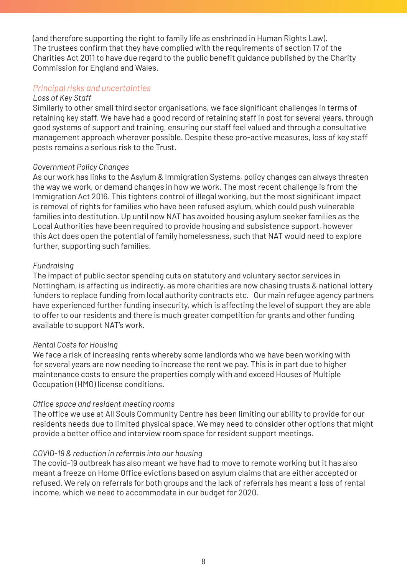(and therefore supporting the right to family life as enshrined in Human Rights Law). The trustees confirm that they have complied with the requirements of section 17 of the Charities Act 2011 to have due regard to the public benefit guidance published by the Charity Commission for England and Wales.

### *Principal risks and uncertainties*

#### *Loss of Key Staff*

Similarly to other small third sector organisations, we face significant challenges in terms of retaining key staff. We have had a good record of retaining staff in post for several years, through good systems of support and training, ensuring our staff feel valued and through a consultative management approach wherever possible. Despite these pro-active measures, loss of key staff posts remains a serious risk to the Trust.

### *Government Policy Changes*

As our work has links to the Asylum & Immigration Systems, policy changes can always threaten the way we work, or demand changes in how we work. The most recent challenge is from the Immigration Act 2016. This tightens control of illegal working, but the most significant impact is removal of rights for families who have been refused asylum, which could push vulnerable families into destitution. Up until now NAT has avoided housing asylum seeker families as the Local Authorities have been required to provide housing and subsistence support, however this Act does open the potential of family homelessness, such that NAT would need to explore further, supporting such families.

### *Fundraising*

The impact of public sector spending cuts on statutory and voluntary sector services in Nottingham, is affecting us indirectly, as more charities are now chasing trusts & national lottery funders to replace funding from local authority contracts etc. Our main refugee agency partners have experienced further funding insecurity, which is affecting the level of support they are able to offer to our residents and there is much greater competition for grants and other funding available to support NAT's work.

### *Rental Costs for Housing*

We face a risk of increasing rents whereby some landlords who we have been working with for several years are now needing to increase the rent we pay. This is in part due to higher maintenance costs to ensure the properties comply with and exceed Houses of Multiple Occupation (HMO) license conditions.

### *Office space and resident meeting rooms*

The office we use at All Souls Community Centre has been limiting our ability to provide for our residents needs due to limited physical space. We may need to consider other options that might provide a better office and interview room space for resident support meetings.

#### *COVID-19 & reduction in referrals into our housing*

The covid-19 outbreak has also meant we have had to move to remote working but it has also meant a freeze on Home Office evictions based on asylum claims that are either accepted or refused. We rely on referrals for both groups and the lack of referrals has meant a loss of rental income, which we need to accommodate in our budget for 2020.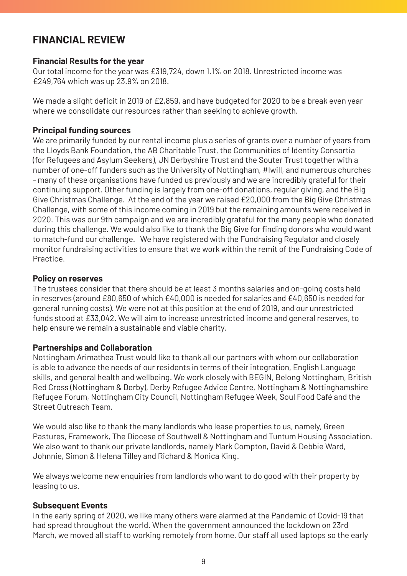### **FINANCIAL REVIEW**

### **Financial Results for the year**

Our total income for the year was £319,724, down 1.1% on 2018. Unrestricted income was £249,764 which was up 23.9% on 2018.

We made a slight deficit in 2019 of £2,859, and have budgeted for 2020 to be a break even year where we consolidate our resources rather than seeking to achieve growth.

### **Principal funding sources**

We are primarily funded by our rental income plus a series of grants over a number of years from the Lloyds Bank Foundation, the AB Charitable Trust, the Communities of Identity Consortia (for Refugees and Asylum Seekers), JN Derbyshire Trust and the Souter Trust together with a number of one-off funders such as the University of Nottingham, #Iwill, and numerous churches - many of these organisations have funded us previously and we are incredibly grateful for their continuing support. Other funding is largely from one-off donations, regular giving, and the Big Give Christmas Challenge. At the end of the year we raised £20,000 from the Big Give Christmas Challenge, with some of this income coming in 2019 but the remaining amounts were received in 2020. This was our 9th campaign and we are incredibly grateful for the many people who donated during this challenge. We would also like to thank the Big Give for finding donors who would want to match-fund our challenge. We have registered with the Fundraising Regulator and closely monitor fundraising activities to ensure that we work within the remit of the Fundraising Code of **Practice** 

### **Policy on reserves**

The trustees consider that there should be at least 3 months salaries and on-going costs held in reserves (around £80,650 of which £40,000 is needed for salaries and £40,650 is needed for general running costs). We were not at this position at the end of 2019, and our unrestricted funds stood at £33,042. We will aim to increase unrestricted income and general reserves, to help ensure we remain a sustainable and viable charity.

### **Partnerships and Collaboration**

Nottingham Arimathea Trust would like to thank all our partners with whom our collaboration is able to advance the needs of our residents in terms of their integration, English Language skills, and general health and wellbeing. We work closely with BEGIN, Belong Nottingham, British Red Cross (Nottingham & Derby), Derby Refugee Advice Centre, Nottingham & Nottinghamshire Refugee Forum, Nottingham City Council, Nottingham Refugee Week, Soul Food Café and the Street Outreach Team.

We would also like to thank the many landlords who lease properties to us, namely, Green Pastures, Framework, The Diocese of Southwell & Nottingham and Tuntum Housing Association. We also want to thank our private landlords, namely Mark Compton, David & Debbie Ward, Johnnie, Simon & Helena Tilley and Richard & Monica King.

We always welcome new enquiries from landlords who want to do good with their property by leasing to us.

### **Subsequent Events**

In the early spring of 2020, we like many others were alarmed at the Pandemic of Covid-19 that had spread throughout the world. When the government announced the lockdown on 23rd March, we moved all staff to working remotely from home. Our staff all used laptops so the early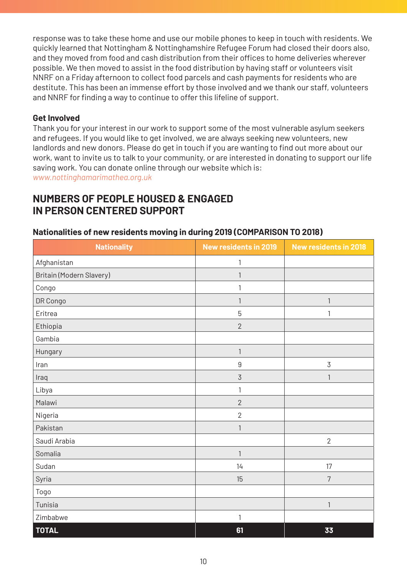response was to take these home and use our mobile phones to keep in touch with residents. We quickly learned that Nottingham & Nottinghamshire Refugee Forum had closed their doors also, and they moved from food and cash distribution from their offices to home deliveries wherever possible. We then moved to assist in the food distribution by having staff or volunteers visit NNRF on a Friday afternoon to collect food parcels and cash payments for residents who are destitute. This has been an immense effort by those involved and we thank our staff, volunteers and NNRF for finding a way to continue to offer this lifeline of support.

### **Get Involved**

Thank you for your interest in our work to support some of the most vulnerable asylum seekers and refugees. If you would like to get involved, we are always seeking new volunteers, new landlords and new donors. Please do get in touch if you are wanting to find out more about our work, want to invite us to talk to your community, or are interested in donating to support our life saving work. You can donate online through our website which is:

*www.nottinghamarimathea.org.uk*

### **NUMBERS OF PEOPLE HOUSED & ENGAGED IN PERSON CENTERED SUPPORT**

| <b>Nationality</b>       | New residents in 2019 | <b>New residents in 2018</b> |
|--------------------------|-----------------------|------------------------------|
| Afghanistan              | 1                     |                              |
| Britain (Modern Slavery) | 1                     |                              |
| Congo                    | 1                     |                              |
| DR Congo                 | $\mathbf{1}$          | 1                            |
| Eritrea                  | 5                     | 1                            |
| Ethiopia                 | $\overline{2}$        |                              |
| Gambia                   |                       |                              |
| Hungary                  | 1                     |                              |
| Iran                     | $\overline{9}$        | 3                            |
| Iraq                     | 3                     | 1                            |
| Libya                    | 1                     |                              |
| Malawi                   | $\overline{2}$        |                              |
| Nigeria                  | $\overline{2}$        |                              |
| Pakistan                 | 1                     |                              |
| Saudi Arabia             |                       | $\overline{2}$               |
| Somalia                  | $\mathbf{1}$          |                              |
| Sudan                    | 14                    | 17                           |
| Syria                    | 15                    | $\overline{7}$               |
| Togo                     |                       |                              |
| Tunisia                  |                       | 1                            |
| Zimbabwe                 | $\mathbf{1}$          |                              |
| <b>TOTAL</b>             | 61                    | 33                           |

### **Nationalities of new residents moving in during 2019 (COMPARISON TO 2018)**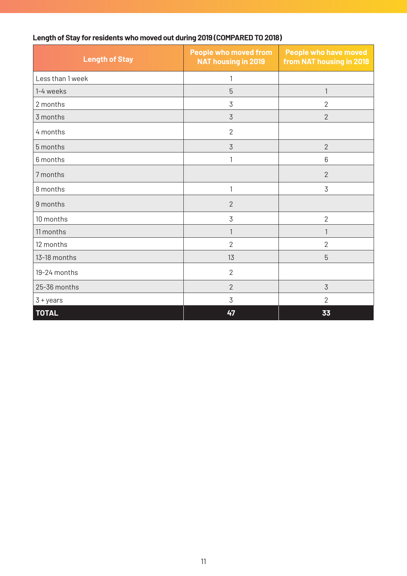|  | Length of Stay for residents who moved out during 2019 (COMPARED TO 2018) |
|--|---------------------------------------------------------------------------|
|--|---------------------------------------------------------------------------|

| <b>Length of Stay</b> | <b>People who moved from</b><br><b>NAT housing in 2019</b> | People who have moved<br>from NAT housing in 2018 |
|-----------------------|------------------------------------------------------------|---------------------------------------------------|
| Less than 1 week      | 1                                                          |                                                   |
| 1-4 weeks             | 5                                                          | $\mathbf{1}$                                      |
| 2 months              | 3                                                          | $\overline{2}$                                    |
| 3 months              | 3                                                          | $\overline{2}$                                    |
| 4 months              | $\overline{2}$                                             |                                                   |
| 5 months              | 3                                                          | $\overline{2}$                                    |
| 6 months              | 1                                                          | 6                                                 |
| 7 months              |                                                            | $\overline{2}$                                    |
| 8 months              | 1                                                          | 3                                                 |
| 9 months              | $\overline{2}$                                             |                                                   |
| 10 months             | 3                                                          | $\overline{2}$                                    |
| 11 months             | 1                                                          | $\mathbf{1}$                                      |
| 12 months             | $\overline{2}$                                             | $\overline{2}$                                    |
| 13-18 months          | 13                                                         | 5                                                 |
| 19-24 months          | $\overline{2}$                                             |                                                   |
| 25-36 months          | $\overline{2}$                                             | 3                                                 |
| $3 + years$           | 3                                                          | $\overline{2}$                                    |
| <b>TOTAL</b>          | 47                                                         | 33                                                |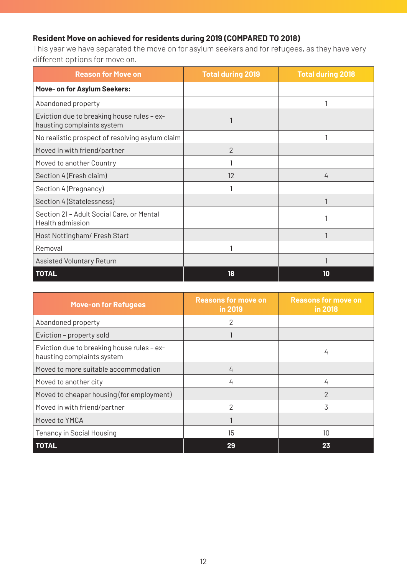### **Resident Move on achieved for residents during 2019 (COMPARED TO 2018)**

This year we have separated the move on for asylum seekers and for refugees, as they have very different options for move on.

| <b>Reason for Move on</b>                                                | <b>Total during 2019</b> | <b>Total during 2018</b> |
|--------------------------------------------------------------------------|--------------------------|--------------------------|
| Move- on for Asylum Seekers:                                             |                          |                          |
| Abandoned property                                                       |                          |                          |
| Eviction due to breaking house rules - ex-<br>hausting complaints system |                          |                          |
| No realistic prospect of resolving asylum claim                          |                          |                          |
| Moved in with friend/partner                                             | $\overline{2}$           |                          |
| Moved to another Country                                                 |                          |                          |
| Section 4 (Fresh claim)                                                  | 12                       | 4                        |
| Section 4 (Pregnancy)                                                    |                          |                          |
| Section 4 (Statelessness)                                                |                          |                          |
| Section 21 - Adult Social Care, or Mental<br>Health admission            |                          |                          |
| Host Nottingham/ Fresh Start                                             |                          |                          |
| Removal                                                                  |                          |                          |
| Assisted Voluntary Return                                                |                          |                          |
| <b>TOTAL</b>                                                             | 18                       | 10                       |

| <b>Move-on for Refugees</b>                                              | <b>Reasons for move on</b><br>in 2019 | <b>Reasons for move on</b><br>in 2018 |
|--------------------------------------------------------------------------|---------------------------------------|---------------------------------------|
| Abandoned property                                                       | 2                                     |                                       |
| Eviction - property sold                                                 |                                       |                                       |
| Eviction due to breaking house rules - ex-<br>hausting complaints system |                                       | 4                                     |
| Moved to more suitable accommodation                                     | 4                                     |                                       |
| Moved to another city                                                    | 4                                     | 4                                     |
| Moved to cheaper housing (for employment)                                |                                       | $\mathcal{P}$                         |
| Moved in with friend/partner                                             | 2                                     | 3                                     |
| Moved to YMCA                                                            |                                       |                                       |
| Tenancy in Social Housing                                                | 15                                    | $10 \,$                               |
| <b>TOTAL</b>                                                             | 29                                    | 23                                    |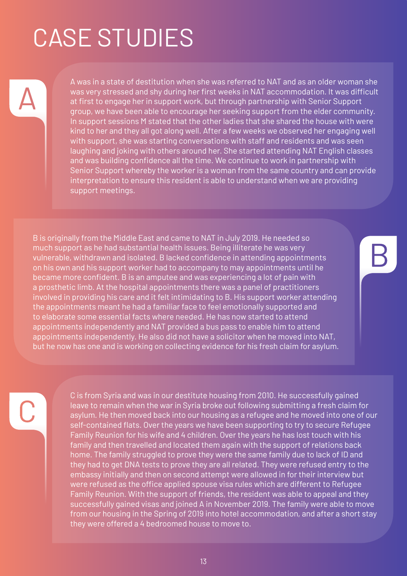# CASE STUDIES

A was in a state of destitution when she was referred to NAT and as an older woman she was very stressed and shy during her first weeks in NAT accommodation. It was difficult at first to engage her in support work, but through partnership with Senior Support group, we have been able to encourage her seeking support from the elder community. In support sessions M stated that the other ladies that she shared the house with were kind to her and they all got along well. After a few weeks we observed her engaging well with support, she was starting conversations with staff and residents and was seen laughing and joking with others around her. She started attending NAT English classes and was building confidence all the time. We continue to work in partnership with Senior Support whereby the worker is a woman from the same country and can provide interpretation to ensure this resident is able to understand when we are providing support meetings.

B is originally from the Middle East and came to NAT in July 2019. He needed so much support as he had substantial health issues. Being illiterate he was very vulnerable, withdrawn and isolated. B lacked confidence in attending appointments on his own and his support worker had to accompany to may appointments until he became more confident. B is an amputee and was experiencing a lot of pain with a prosthetic limb. At the hospital appointments there was a panel of practitioners involved in providing his care and it felt intimidating to B. His support worker attending the appointments meant he had a familiar face to feel emotionally supported and to elaborate some essential facts where needed. He has now started to attend appointments independently and NAT provided a bus pass to enable him to attend appointments independently. He also did not have a solicitor when he moved into NAT, but he now has one and is working on collecting evidence for his fresh claim for asylum.

C is from Syria and was in our destitute housing from 2010. He successfully gained leave to remain when the war in Syria broke out following submitting a fresh claim for asylum. He then moved back into our housing as a refugee and he moved into one of our self-contained flats. Over the years we have been supporting to try to secure Refugee Family Reunion for his wife and 4 children. Over the years he has lost touch with his family and then travelled and located them again with the support of relations back home. The family struggled to prove they were the same family due to lack of ID and they had to get DNA tests to prove they are all related. They were refused entry to the embassy initially and then on second attempt were allowed in for their interview but were refused as the office applied spouse visa rules which are different to Refugee Family Reunion. With the support of friends, the resident was able to appeal and they successfully gained visas and joined A in November 2019. The family were able to move from our housing in the Spring of 2019 into hotel accommodation, and after a short stay they were offered a 4 bedroomed house to move to.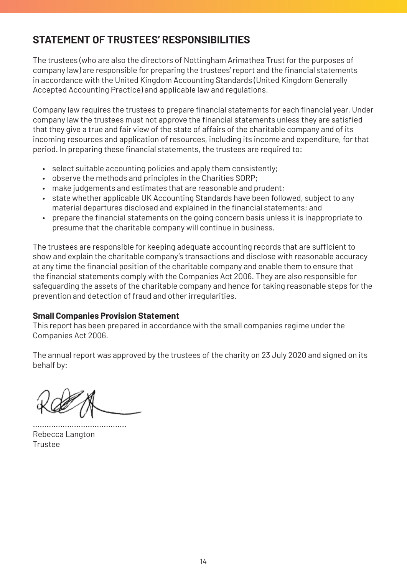# **STATEMENT OF TRUSTEES' RESPONSIBILITIES**

The trustees (who are also the directors of Nottingham Arimathea Trust for the purposes of company law) are responsible for preparing the trustees' report and the financial statements in accordance with the United Kingdom Accounting Standards (United Kingdom Generally Accepted Accounting Practice) and applicable law and regulations.

Company law requires the trustees to prepare financial statements for each financial year. Under company law the trustees must not approve the financial statements unless they are satisfied that they give a true and fair view of the state of affairs of the charitable company and of its incoming resources and application of resources, including its income and expenditure, for that period. In preparing these financial statements, the trustees are required to:

- select suitable accounting policies and apply them consistently;
- observe the methods and principles in the Charities SORP;
- make judgements and estimates that are reasonable and prudent;
- state whether applicable UK Accounting Standards have been followed, subject to any material departures disclosed and explained in the financial statements; and
- • prepare the financial statements on the going concern basis unless it is inappropriate to presume that the charitable company will continue in business.

The trustees are responsible for keeping adequate accounting records that are sufficient to show and explain the charitable company's transactions and disclose with reasonable accuracy at any time the financial position of the charitable company and enable them to ensure that the financial statements comply with the Companies Act 2006. They are also responsible for safeguarding the assets of the charitable company and hence for taking reasonable steps for the prevention and detection of fraud and other irregularities.

### **Small Companies Provision Statement**

This report has been prepared in accordance with the small companies regime under the Companies Act 2006.

The annual report was approved by the trustees of the charity on 23 July 2020 and signed on its behalf by:

......................................... Rebecca Langton Trustee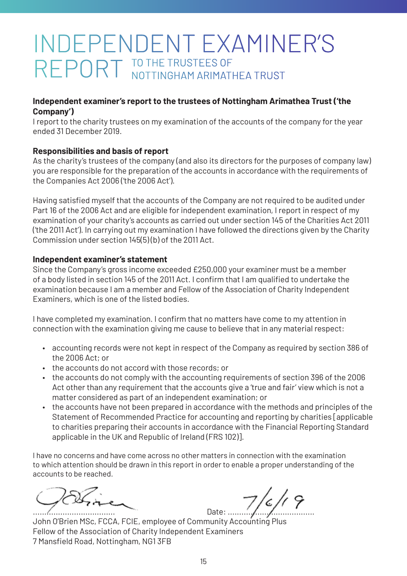# INDEPENDENT EXAMINER'S REPORT TO THE TRUSTEES OF NOTTINGHAM ARIMATHEA TRUST

### **Independent examiner's report to the trustees of Nottingham Arimathea Trust ('the Company')**

I report to the charity trustees on my examination of the accounts of the company for the year ended 31 December 2019.

### **Responsibilities and basis of report**

As the charity's trustees of the company (and also its directors for the purposes of company law) you are responsible for the preparation of the accounts in accordance with the requirements of the Companies Act 2006 ('the 2006 Act').

Having satisfied myself that the accounts of the Company are not required to be audited under Part 16 of the 2006 Act and are eligible for independent examination, I report in respect of my examination of your charity's accounts as carried out under section 145 of the Charities Act 2011 ('the 2011 Act'). In carrying out my examination I have followed the directions given by the Charity Commission under section 145(5) (b) of the 2011 Act.

### **Independent examiner's statement**

Since the Company's gross income exceeded £250,000 your examiner must be a member of a body listed in section 145 of the 2011 Act. I confirm that I am qualified to undertake the examination because I am a member and Fellow of the Association of Charity Independent Examiners, which is one of the listed bodies.

I have completed my examination. I confirm that no matters have come to my attention in connection with the examination giving me cause to believe that in any material respect:

- accounting records were not kept in respect of the Company as required by section 386 of the 2006 Act; or
- the accounts do not accord with those records; or
- the accounts do not comply with the accounting requirements of section 396 of the 2006 Act other than any requirement that the accounts give a 'true and fair' view which is not a matter considered as part of an independent examination; or
- the accounts have not been prepared in accordance with the methods and principles of the Statement of Recommended Practice for accounting and reporting by charities [applicable to charities preparing their accounts in accordance with the Financial Reporting Standard applicable in the UK and Republic of Ireland (FRS 102)].

I have no concerns and have come across no other matters in connection with the examination to which attention should be drawn in this report in order to enable a proper understanding of the accounts to be reached.

.................................... Date: ......................................

John O'Brien MSc, FCCA, FCIE, employee of Community Accounting Plus Fellow of the Association of Charity Independent Examiners 7 Mansfield Road, Nottingham, NG1 3FB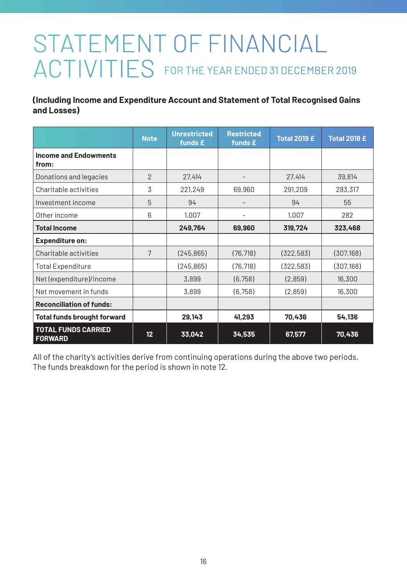# STATEMENT OF FINANCIAL ACTIVITIES FOR THE YEAR ENDED 31 DECEMBER 2019

**(Including Income and Expenditure Account and Statement of Total Recognised Gains and Losses)**

|                                              | <b>Note</b>   | <b>Unrestricted</b><br>funds £ | <b>Restricted</b><br>funds £ | <b>Total 2019 £</b> | <b>Total 2018 £</b> |
|----------------------------------------------|---------------|--------------------------------|------------------------------|---------------------|---------------------|
| <b>Income and Endowments</b><br>from:        |               |                                |                              |                     |                     |
| Donations and legacies                       | $\mathcal{P}$ | 27,414                         |                              | 27,414              | 39,814              |
| Charitable activities                        | 3             | 221,249                        | 69,960                       | 291,209             | 283,317             |
| Investment income                            | 5             | 94                             | $\qquad \qquad -$            | 94                  | 55                  |
| Other income                                 | 6             | 1,007                          |                              | 1,007               | 282                 |
| <b>Total Income</b>                          |               | 249.764                        | 69,960                       | 319,724             | 323,468             |
| <b>Expenditure on:</b>                       |               |                                |                              |                     |                     |
| Charitable activities                        | 7             | (245, 865)                     | (76, 718)                    | (322, 583)          | (307, 168)          |
| <b>Total Expenditure</b>                     |               | (245, 865)                     | (76, 718)                    | (322, 583)          | (307, 168)          |
| Net (expenditure)/income                     |               | 3,899                          | (6, 758)                     | (2,859)             | 16,300              |
| Net movement in funds                        |               | 3,899                          | (6, 758)                     | (2,859)             | 16,300              |
| <b>Reconciliation of funds:</b>              |               |                                |                              |                     |                     |
| <b>Total funds brought forward</b>           |               | 29,143                         | 41,293                       | 70,436              | 54,136              |
| <b>TOTAL FUNDS CARRIED</b><br><b>FORWARD</b> | 12            | 33,042                         | 34,535                       | 67,577              | 70,436              |

All of the charity's activities derive from continuing operations during the above two periods. The funds breakdown for the period is shown in note 12.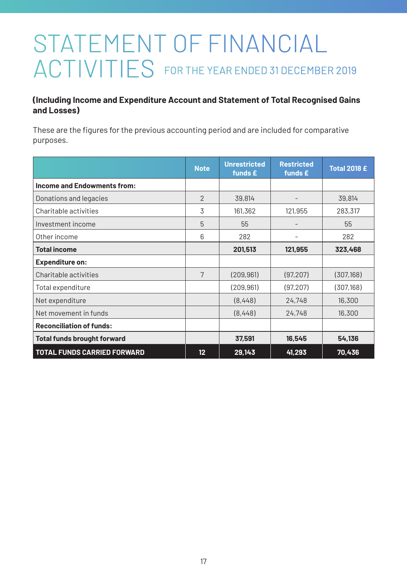# STATEMENT OF FINANCIAL ACTIVITIES FOR THE YEAR ENDED 31 DECEMBER 2019

### **(Including Income and Expenditure Account and Statement of Total Recognised Gains and Losses)**

These are the figures for the previous accounting period and are included for comparative purposes.

|                                    | <b>Note</b>     | <b>Unrestricted</b><br>funds £ | <b>Restricted</b><br>funds £ | <b>Total 2018 £</b> |
|------------------------------------|-----------------|--------------------------------|------------------------------|---------------------|
| <b>Income and Endowments from:</b> |                 |                                |                              |                     |
| Donations and legacies             | $\overline{2}$  | 39,814                         |                              | 39,814              |
| Charitable activities              | 3               | 161,362                        | 121,955                      | 283,317             |
| Investment income                  | 5               | 55                             |                              | 55                  |
| Other income                       | 6               | 282                            |                              | 282                 |
| <b>Total income</b>                |                 | 201,513                        | 121,955                      | 323,468             |
| <b>Expenditure on:</b>             |                 |                                |                              |                     |
| Charitable activities              | 7               | (209, 961)                     | (97, 207)                    | (307, 168)          |
| Total expenditure                  |                 | (209.961)                      | (97, 207)                    | (307, 168)          |
| Net expenditure                    |                 | (8,448)                        | 24,748                       | 16,300              |
| Net movement in funds              |                 | (8,448)                        | 24,748                       | 16,300              |
| <b>Reconciliation of funds:</b>    |                 |                                |                              |                     |
| <b>Total funds brought forward</b> |                 | 37,591                         | 16,545                       | 54,136              |
| <b>TOTAL FUNDS CARRIED FORWARD</b> | 12 <sub>2</sub> | 29,143                         | 41,293                       | 70,436              |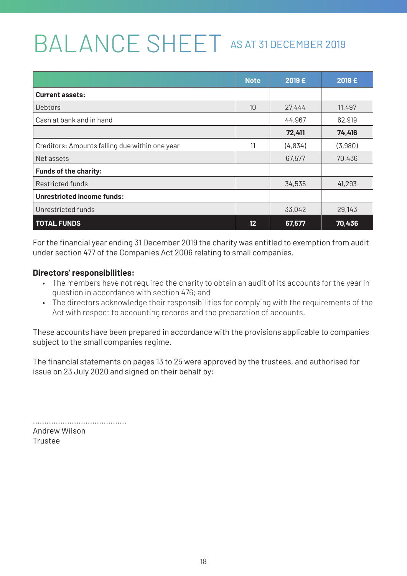# BALANCE SHEET AS AT 31 DECEMBER 2019

|                                                | <b>Note</b> | 2019 £  | 2018 £  |
|------------------------------------------------|-------------|---------|---------|
| <b>Current assets:</b>                         |             |         |         |
| Debtors                                        | 10          | 27,444  | 11,497  |
| Cash at bank and in hand                       |             | 44,967  | 62,919  |
|                                                |             | 72,411  | 74,416  |
| Creditors: Amounts falling due within one year | 11          | (4,834) | (3.980) |
| Net assets                                     |             | 67,577  | 70,436  |
| <b>Funds of the charity:</b>                   |             |         |         |
| Restricted funds                               |             | 34,535  | 41,293  |
| <b>Unrestricted income funds:</b>              |             |         |         |
| Unrestricted funds                             |             | 33,042  | 29,143  |
| <b>TOTAL FUNDS</b>                             | 12          | 67,577  | 70,436  |

For the financial year ending 31 December 2019 the charity was entitled to exemption from audit under section 477 of the Companies Act 2006 relating to small companies.

### **Directors' responsibilities:**

- The members have not required the charity to obtain an audit of its accounts for the year in question in accordance with section 476; and
- The directors acknowledge their responsibilities for complying with the requirements of the Act with respect to accounting records and the preparation of accounts.

These accounts have been prepared in accordance with the provisions applicable to companies subject to the small companies regime.

The financial statements on pages 13 to 25 were approved by the trustees, and authorised for issue on 23 July 2020 and signed on their behalf by:

......................................... Andrew Wilson Trustee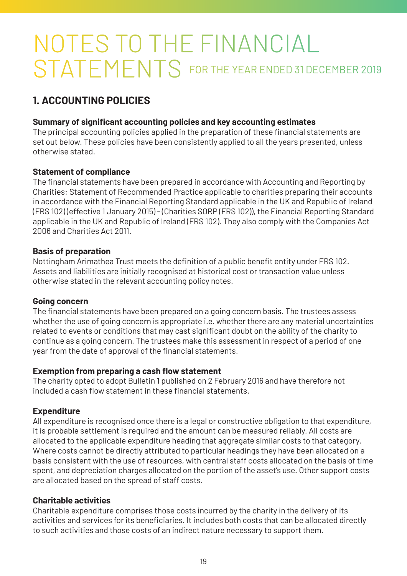# NOTES TO THE FINANCIAL STATEMENTS FOR THE YEAR ENDED 31 DECEMBER 2019

# **1. ACCOUNTING POLICIES**

### **Summary of significant accounting policies and key accounting estimates**

The principal accounting policies applied in the preparation of these financial statements are set out below. These policies have been consistently applied to all the years presented, unless otherwise stated.

### **Statement of compliance**

The financial statements have been prepared in accordance with Accounting and Reporting by Charities: Statement of Recommended Practice applicable to charities preparing their accounts in accordance with the Financial Reporting Standard applicable in the UK and Republic of Ireland (FRS 102) (effective 1 January 2015) - (Charities SORP (FRS 102)), the Financial Reporting Standard applicable in the UK and Republic of Ireland (FRS 102). They also comply with the Companies Act 2006 and Charities Act 2011.

### **Basis of preparation**

Nottingham Arimathea Trust meets the definition of a public benefit entity under FRS 102. Assets and liabilities are initially recognised at historical cost or transaction value unless otherwise stated in the relevant accounting policy notes.

### **Going concern**

The financial statements have been prepared on a going concern basis. The trustees assess whether the use of going concern is appropriate i.e. whether there are any material uncertainties related to events or conditions that may cast significant doubt on the ability of the charity to continue as a going concern. The trustees make this assessment in respect of a period of one year from the date of approval of the financial statements.

### **Exemption from preparing a cash flow statement**

The charity opted to adopt Bulletin 1 published on 2 February 2016 and have therefore not included a cash flow statement in these financial statements.

### **Expenditure**

All expenditure is recognised once there is a legal or constructive obligation to that expenditure, it is probable settlement is required and the amount can be measured reliably. All costs are allocated to the applicable expenditure heading that aggregate similar costs to that category. Where costs cannot be directly attributed to particular headings they have been allocated on a basis consistent with the use of resources, with central staff costs allocated on the basis of time spent, and depreciation charges allocated on the portion of the asset's use. Other support costs are allocated based on the spread of staff costs.

### **Charitable activities**

Charitable expenditure comprises those costs incurred by the charity in the delivery of its activities and services for its beneficiaries. It includes both costs that can be allocated directly to such activities and those costs of an indirect nature necessary to support them.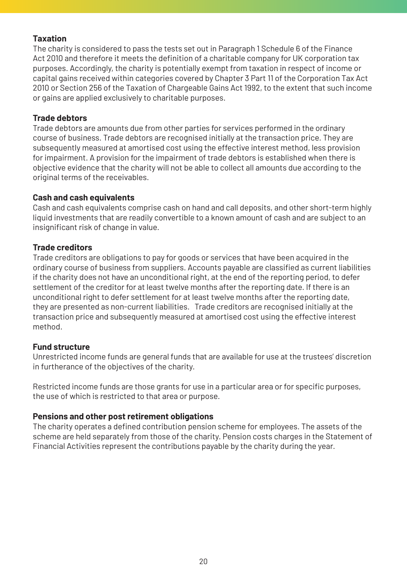### **Taxation**

The charity is considered to pass the tests set out in Paragraph 1 Schedule 6 of the Finance Act 2010 and therefore it meets the definition of a charitable company for UK corporation tax purposes. Accordingly, the charity is potentially exempt from taxation in respect of income or capital gains received within categories covered by Chapter 3 Part 11 of the Corporation Tax Act 2010 or Section 256 of the Taxation of Chargeable Gains Act 1992, to the extent that such income or gains are applied exclusively to charitable purposes.

### **Trade debtors**

Trade debtors are amounts due from other parties for services performed in the ordinary course of business. Trade debtors are recognised initially at the transaction price. They are subsequently measured at amortised cost using the effective interest method, less provision for impairment. A provision for the impairment of trade debtors is established when there is objective evidence that the charity will not be able to collect all amounts due according to the original terms of the receivables.

### **Cash and cash equivalents**

Cash and cash equivalents comprise cash on hand and call deposits, and other short-term highly liquid investments that are readily convertible to a known amount of cash and are subject to an insignificant risk of change in value.

### **Trade creditors**

Trade creditors are obligations to pay for goods or services that have been acquired in the ordinary course of business from suppliers. Accounts payable are classified as current liabilities if the charity does not have an unconditional right, at the end of the reporting period, to defer settlement of the creditor for at least twelve months after the reporting date. If there is an unconditional right to defer settlement for at least twelve months after the reporting date, they are presented as non-current liabilities. Trade creditors are recognised initially at the transaction price and subsequently measured at amortised cost using the effective interest method.

### **Fund structure**

Unrestricted income funds are general funds that are available for use at the trustees' discretion in furtherance of the objectives of the charity.

Restricted income funds are those grants for use in a particular area or for specific purposes, the use of which is restricted to that area or purpose.

### **Pensions and other post retirement obligations**

The charity operates a defined contribution pension scheme for employees. The assets of the scheme are held separately from those of the charity. Pension costs charges in the Statement of Financial Activities represent the contributions payable by the charity during the year.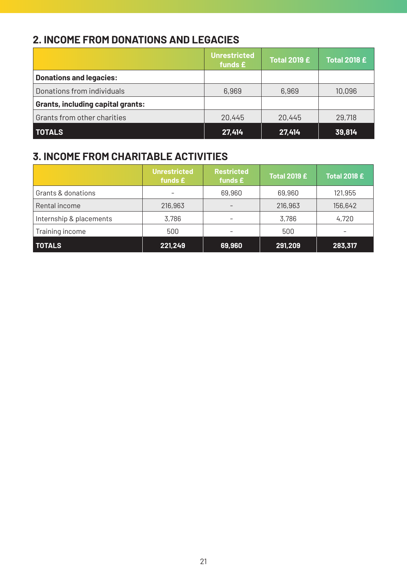# **2. INCOME FROM DONATIONS AND LEGACIES**

|                                   | <b>Unrestricted</b><br>funds £ | <b>Total 2019 £</b> | <b>Total 2018 £</b> |
|-----------------------------------|--------------------------------|---------------------|---------------------|
| <b>Donations and legacies:</b>    |                                |                     |                     |
| Donations from individuals        | 6,969                          | 6,969               | 10,096              |
| Grants, including capital grants: |                                |                     |                     |
| Grants from other charities       | 20,445                         | 20,445              | 29,718              |
| <b>TOTALS</b>                     | 27.414                         | 27,414              | 39,814              |

# **3. INCOME FROM CHARITABLE ACTIVITIES**

|                         | <b>Unrestricted</b><br>funds £ | <b>Restricted</b><br>funds £ | <b>Total 2019 £</b> | <b>Total 2018 £</b> |
|-------------------------|--------------------------------|------------------------------|---------------------|---------------------|
| Grants & donations      |                                | 69,960                       | 69,960              | 121,955             |
| Rental income           | 216,963                        |                              | 216,963             | 156,642             |
| Internship & placements | 3,786                          |                              | 3,786               | 4,720               |
| Training income         | 500                            | -                            | 500                 | -                   |
| <b>TOTALS</b>           | 221,249                        | 69,960                       | 291,209             | 283,317             |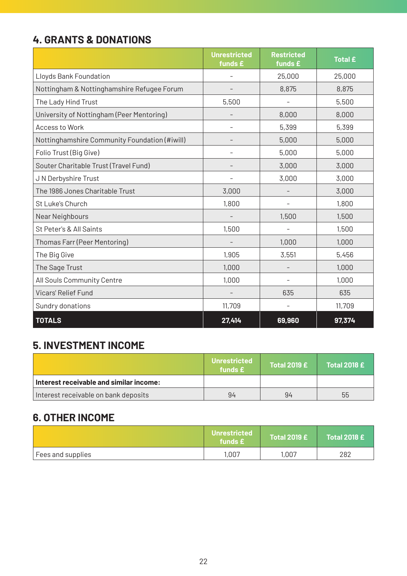# **4. GRANTS & DONATIONS**

|                                               | <b>Unrestricted</b><br>funds £ | <b>Restricted</b><br>funds £ | <b>Total £</b> |
|-----------------------------------------------|--------------------------------|------------------------------|----------------|
| Lloyds Bank Foundation                        |                                | 25,000                       | 25,000         |
| Nottingham & Nottinghamshire Refugee Forum    |                                | 8,875                        | 8,875          |
| The Lady Hind Trust                           | 5,500                          |                              | 5,500          |
| University of Nottingham (Peer Mentoring)     |                                | 8,000                        | 8,000          |
| Access to Work                                |                                | 5,399                        | 5,399          |
| Nottinghamshire Community Foundation (#iwill) | -                              | 5,000                        | 5,000          |
| Folio Trust (Big Give)                        |                                | 5,000                        | 5,000          |
| Souter Charitable Trust (Travel Fund)         |                                | 3,000                        | 3,000          |
| J N Derbyshire Trust                          |                                | 3,000                        | 3,000          |
| The 1986 Jones Charitable Trust               | 3,000                          |                              | 3,000          |
| St Luke's Church                              | 1,800                          |                              | 1,800          |
| Near Neighbours                               |                                | 1,500                        | 1,500          |
| St Peter's & All Saints                       | 1,500                          |                              | 1,500          |
| Thomas Farr (Peer Mentoring)                  |                                | 1,000                        | 1,000          |
| The Big Give                                  | 1,905                          | 3,551                        | 5,456          |
| The Sage Trust                                | 1,000                          |                              | 1,000          |
| All Souls Community Centre                    | 1,000                          |                              | 1,000          |
| Vicars' Relief Fund                           |                                | 635                          | 635            |
| Sundry donations                              | 11,709                         |                              | 11,709         |
| <b>TOTALS</b>                                 | 27,414                         | 69,960                       | 97,374         |

# **5. INVESTMENT INCOME**

|                                         | <b>Unrestricted</b><br>funds $f$ | Total 2019 $\boldsymbol{\mathsf{E}}$ | <b>Total 2018 £</b> |
|-----------------------------------------|----------------------------------|--------------------------------------|---------------------|
| Interest receivable and similar income: |                                  |                                      |                     |
| Interest receivable on bank deposits    | 94                               | 94                                   | 55                  |

# **6. OTHER INCOME**

|                   | <b>Unrestricted</b><br>funds £ | Total 2019 $\boldsymbol{\epsilon}$ \ | <b>Total 2018 £</b> |
|-------------------|--------------------------------|--------------------------------------|---------------------|
| Fees and supplies | 1,007                          | 1,007                                | 282                 |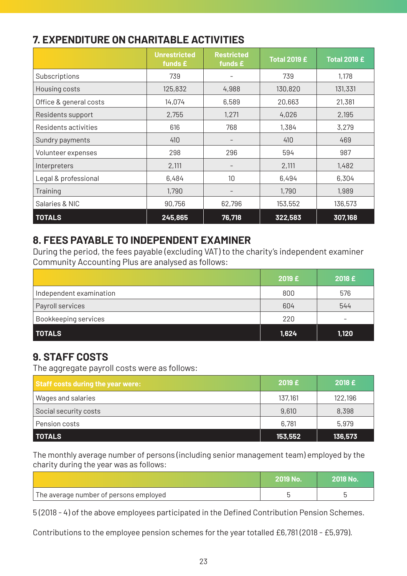# **7. EXPENDITURE ON CHARITABLE ACTIVITIES**

|                        | <b>Unrestricted</b><br>funds $E$ | <b>Restricted</b><br>funds $E$ | <b>Total 2019 £</b> | <b>Total 2018 £</b> |
|------------------------|----------------------------------|--------------------------------|---------------------|---------------------|
| Subscriptions          | 739                              |                                | 739                 | 1,178               |
| Housing costs          | 125,832                          | 4,988                          | 130,820             | 131,331             |
| Office & general costs | 14,074                           | 6,589                          | 20,663              | 21,381              |
| Residents support      | 2,755                            | 1,271                          | 4,026               | 2,195               |
| Residents activities   | 616                              | 768                            | 1,384               | 3,279               |
| Sundry payments        | 410                              | $\qquad \qquad -$              | 410                 | 469                 |
| Volunteer expenses     | 298                              | 296                            | 594                 | 987                 |
| Interpreters           | 2,111                            |                                | 2,111               | 1,482               |
| Legal & professional   | 6,484                            | 10                             | 6,494               | 6,304               |
| Training               | 1,790                            | $\qquad \qquad -$              | 1,790               | 1,989               |
| Salaries & NIC         | 90,756                           | 62,796                         | 153,552             | 136,573             |
| <b>TOTALS</b>          | 245,865                          | 76,718                         | 322,583             | 307,168             |

### **8. FEES PAYABLE TO INDEPENDENT EXAMINER**

During the period, the fees payable (excluding VAT) to the charity's independent examiner Community Accounting Plus are analysed as follows:

|                         | 2019 £ | 2018 £ |
|-------------------------|--------|--------|
| Independent examination | 800    | 576    |
| Payroll services        | 604    | 544    |
| Bookkeeping services    | 220    | -      |
| <b>TOTALS</b>           | 1,624  | 1,120  |

# **9. STAFF COSTS**

The aggregate payroll costs were as follows:

| Staff costs during the year were: | 2019E   | 2018E   |
|-----------------------------------|---------|---------|
| Wages and salaries                | 137,161 | 122,196 |
| Social security costs             | 9,610   | 8,398   |
| Pension costs                     | 6,781   | 5,979   |
| <b>TOTALS</b>                     | 153,552 | 136,573 |

The monthly average number of persons (including senior management team) employed by the charity during the year was as follows:

|                                        | <b>SZOTA NA</b> | <b>2018 No.</b> |
|----------------------------------------|-----------------|-----------------|
| The average number of persons employed |                 |                 |

5 (2018 - 4) of the above employees participated in the Defined Contribution Pension Schemes.

Contributions to the employee pension schemes for the year totalled £6,781 (2018 - £5,979).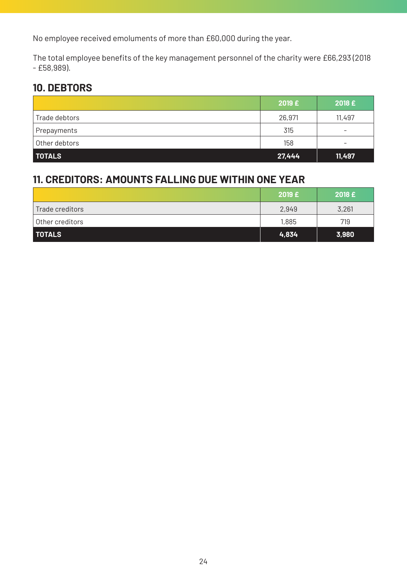No employee received emoluments of more than £60,000 during the year.

The total employee benefits of the key management personnel of the charity were £66,293 (2018 - £58,989).

# **10. DEBTORS**

|               | 2019 £ | 2018 £                   |
|---------------|--------|--------------------------|
| Trade debtors | 26,971 | 11,497                   |
| Prepayments   | 315    | $\overline{\phantom{0}}$ |
| Other debtors | 158    | -                        |
| I TOTALS      | 27,444 | 11,497                   |

# **11. CREDITORS: AMOUNTS FALLING DUE WITHIN ONE YEAR**

|                              | 2019E | 2018E |
|------------------------------|-------|-------|
| Trade creditors              | 2,949 | 3,261 |
| <sup>1</sup> Other creditors | 1,885 | 719   |
| <b>TOTALS</b>                | 4,834 | 3,980 |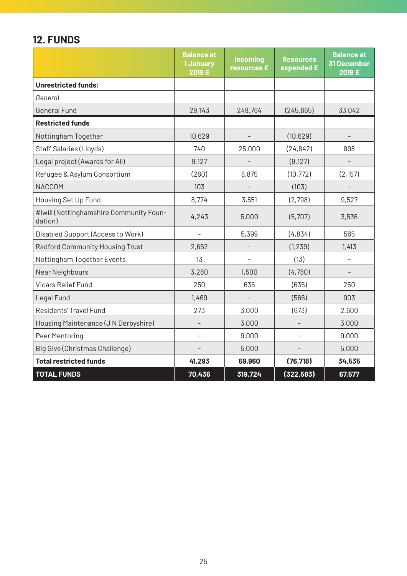# **12. FUNDS**

|                                                    | <b>Balance at</b><br>1 January<br>2019 £ | <b>Incoming</b><br>resources £ | <b>Resources</b><br>expended £ | <b>Balance at</b><br><b>31 December</b><br>2019 £ |
|----------------------------------------------------|------------------------------------------|--------------------------------|--------------------------------|---------------------------------------------------|
| <b>Unrestricted funds:</b>                         |                                          |                                |                                |                                                   |
| General                                            |                                          |                                |                                |                                                   |
| <b>General Fund</b>                                | 29,143                                   | 249,764                        | (245, 865)                     | 33,042                                            |
| <b>Restricted funds</b>                            |                                          |                                |                                |                                                   |
| Nottingham Together                                | 10,629                                   |                                | (10,629)                       |                                                   |
| Staff Salaries (Lloyds)                            | 740                                      | 25,000                         | (24, 842)                      | 898                                               |
| Legal project (Awards for All)                     | 9,127                                    |                                | (9, 127)                       |                                                   |
| Refugee & Asylum Consortium                        | (260)                                    | 8,875                          | (10, 772)                      | (2, 157)                                          |
| <b>NACCOM</b>                                      | 103                                      | $\qquad \qquad -$              | (103)                          |                                                   |
| Housing Set Up Fund                                | 8.774                                    | 3,551                          | (2,798)                        | 9,527                                             |
| #iwill (Nottinghamshire Community Foun-<br>dation) | 4,243                                    | 5,000                          | (5,707)                        | 3,536                                             |
| Disabled Support (Access to Work)                  |                                          | 5,399                          | (4,834)                        | 565                                               |
| Radford Community Housing Trust                    | 2,652                                    |                                | (1, 239)                       | 1,413                                             |
| Nottingham Together Events                         | 13                                       |                                | (13)                           |                                                   |
| Near Neighbours                                    | 3,280                                    | 1,500                          | (4,780)                        | $\overline{\phantom{a}}$                          |
| <b>Vicars Relief Fund</b>                          | 250                                      | 635                            | (635)                          | 250                                               |
| Legal Fund                                         | 1,469                                    |                                | (566)                          | 903                                               |
| Residents' Travel Fund                             | 273                                      | 3,000                          | (673)                          | 2,600                                             |
| Housing Maintenance (J N Derbyshire)               |                                          | 3,000                          |                                | 3,000                                             |
| Peer Mentoring                                     | $\qquad \qquad -$                        | 9,000                          |                                | 9,000                                             |
| Big Give (Christmas Challenge)                     |                                          | 5,000                          |                                | 5,000                                             |
| <b>Total restricted funds</b>                      | 41,293                                   | 69,960                         | (76, 718)                      | 34,535                                            |
| <b>TOTAL FUNDS</b>                                 | 70,436                                   | 319,724                        | (322, 583)                     | 67,577                                            |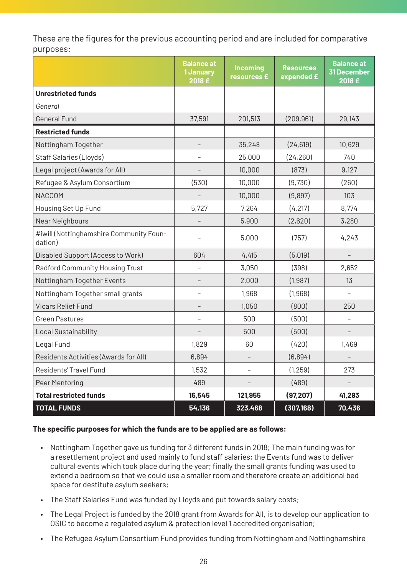These are the figures for the previous accounting period and are included for comparative purposes:

|                                                    | <b>Balance at</b><br>1 January<br>2018 £ | <b>Incoming</b><br>resources £ | <b>Resources</b><br>expended £ | Balance at<br><b>31 December</b><br>2018 £ |
|----------------------------------------------------|------------------------------------------|--------------------------------|--------------------------------|--------------------------------------------|
| <b>Unrestricted funds</b>                          |                                          |                                |                                |                                            |
| General                                            |                                          |                                |                                |                                            |
| <b>General Fund</b>                                | 37,591                                   | 201,513                        | (209, 961)                     | 29,143                                     |
| <b>Restricted funds</b>                            |                                          |                                |                                |                                            |
| Nottingham Together                                | $\overline{\phantom{0}}$                 | 35,248                         | (24, 619)                      | 10,629                                     |
| Staff Salaries (Lloyds)                            | $\overline{\phantom{m}}$                 | 25,000                         | (24, 260)                      | 740                                        |
| Legal project (Awards for All)                     |                                          | 10,000                         | (873)                          | 9,127                                      |
| Refugee & Asylum Consortium                        | (530)                                    | 10,000                         | (9,730)                        | (260)                                      |
| <b>NACCOM</b>                                      |                                          | 10,000                         | (9,897)                        | 103                                        |
| Housing Set Up Fund                                | 5,727                                    | 7.264                          | (4, 217)                       | 8.774                                      |
| Near Neighbours                                    |                                          | 5,900                          | (2,620)                        | 3,280                                      |
| #iwill (Nottinghamshire Community Foun-<br>dation) |                                          | 5,000                          | (757)                          | 4,243                                      |
| Disabled Support (Access to Work)                  | 604                                      | 4,415                          | (5,019)                        |                                            |
| Radford Community Housing Trust                    | $\overline{\phantom{m}}$                 | 3,050                          | (398)                          | 2,652                                      |
| Nottingham Together Events                         | $\qquad \qquad -$                        | 2,000                          | (1,987)                        | 13                                         |
| Nottingham Together small grants                   | $\overline{\phantom{a}}$                 | 1,968                          | (1,968)                        |                                            |
| <b>Vicars Relief Fund</b>                          | -                                        | 1,050                          | (800)                          | 250                                        |
| <b>Green Pastures</b>                              | $\overline{\phantom{0}}$                 | 500                            | (500)                          |                                            |
| Local Sustainability                               |                                          | 500                            | (500)                          |                                            |
| Legal Fund                                         | 1,829                                    | 60                             | (420)                          | 1,469                                      |
| Residents Activities (Awards for All)              | 6,894                                    |                                | (6,894)                        |                                            |
| Residents' Travel Fund                             | 1,532                                    |                                | (1, 259)                       | 273                                        |
| Peer Mentoring                                     | 489                                      |                                | (489)                          |                                            |
| <b>Total restricted funds</b>                      | 16,545                                   | 121,955                        | (97, 207)                      | 41,293                                     |
| <b>TOTAL FUNDS</b>                                 | 54,136                                   | 323,468                        | (307, 168)                     | 70,436                                     |

### **The specific purposes for which the funds are to be applied are as follows:**

- Nottingham Together gave us funding for 3 different funds in 2018; The main funding was for a resettlement project and used mainly to fund staff salaries; the Events fund was to deliver cultural events which took place during the year; finally the small grants funding was used to extend a bedroom so that we could use a smaller room and therefore create an additional bed space for destitute asylum seekers;
- The Staff Salaries Fund was funded by Lloyds and put towards salary costs;
- The Legal Project is funded by the 2018 grant from Awards for All, is to develop our application to OSIC to become a regulated asylum & protection level 1 accredited organisation;
- The Refugee Asylum Consortium Fund provides funding from Nottingham and Nottinghamshire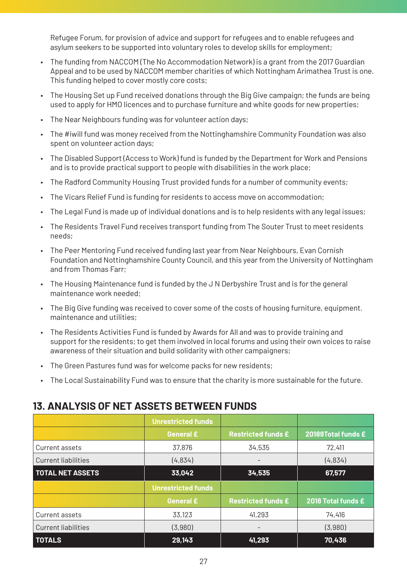Refugee Forum, for provision of advice and support for refugees and to enable refugees and asylum seekers to be supported into voluntary roles to develop skills for employment;

- The funding from NACCOM (The No Accommodation Network) is a grant from the 2017 Guardian Appeal and to be used by NACCOM member charities of which Nottingham Arimathea Trust is one. This funding helped to cover mostly core costs;
- The Housing Set up Fund received donations through the Big Give campaign; the funds are being used to apply for HMO licences and to purchase furniture and white goods for new properties;
- The Near Neighbours funding was for volunteer action days;
- The #iwill fund was money received from the Nottinghamshire Community Foundation was also spent on volunteer action days;
- The Disabled Support (Access to Work) fund is funded by the Department for Work and Pensions and is to provide practical support to people with disabilities in the work place;
- The Radford Community Housing Trust provided funds for a number of community events;
- The Vicars Relief Fund is funding for residents to access move on accommodation;
- The Legal Fund is made up of individual donations and is to help residents with any legal issues;
- The Residents Travel Fund receives transport funding from The Souter Trust to meet residents needs;
- The Peer Mentoring Fund received funding last year from Near Neighbours, Evan Cornish Foundation and Nottinghamshire County Council, and this year from the University of Nottingham and from Thomas Farr;
- The Housing Maintenance fund is funded by the J N Derbyshire Trust and is for the general maintenance work needed;
- The Big Give funding was received to cover some of the costs of housing furniture, equipment. maintenance and utilities;
- The Residents Activities Fund is funded by Awards for All and was to provide training and support for the residents; to get them involved in local forums and using their own voices to raise awareness of their situation and build solidarity with other campaigners;
- The Green Pastures fund was for welcome packs for new residents;
- The Local Sustainability Fund was to ensure that the charity is more sustainable for the future.

### **13. ANALYSIS OF NET ASSETS BETWEEN FUNDS**

|                            | <b>Unrestricted funds</b> |                           |                    |
|----------------------------|---------------------------|---------------------------|--------------------|
|                            | <b>General £</b>          | <b>Restricted funds £</b> | 20189Total funds £ |
| Current assets             | 37,876                    | 34,535                    | 72,411             |
| Current liabilities        | (4,834)                   |                           | (4,834)            |
| <b>TOTAL NET ASSETS</b>    | 33,042                    | 34,535                    | 67,577             |
|                            | <b>Unrestricted funds</b> |                           |                    |
|                            | <b>General £</b>          | <b>Restricted funds £</b> | 2018 Total funds £ |
| Current assets             | 33,123                    | 41,293                    | 74,416             |
| <b>Current liabilities</b> | (3,980)                   | ۰                         | (3,980)            |
| <b>TOTALS</b>              | 29,143                    | 41,293                    | 70,436             |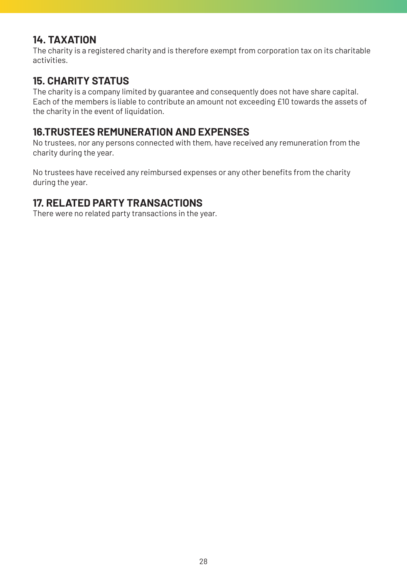### **14. TAXATION**

The charity is a registered charity and is therefore exempt from corporation tax on its charitable activities.

### **15. CHARITY STATUS**

The charity is a company limited by guarantee and consequently does not have share capital. Each of the members is liable to contribute an amount not exceeding £10 towards the assets of the charity in the event of liquidation.

### **16.TRUSTEES REMUNERATION AND EXPENSES**

No trustees, nor any persons connected with them, have received any remuneration from the charity during the year.

No trustees have received any reimbursed expenses or any other benefits from the charity during the year.

### **17. RELATED PARTY TRANSACTIONS**

There were no related party transactions in the year.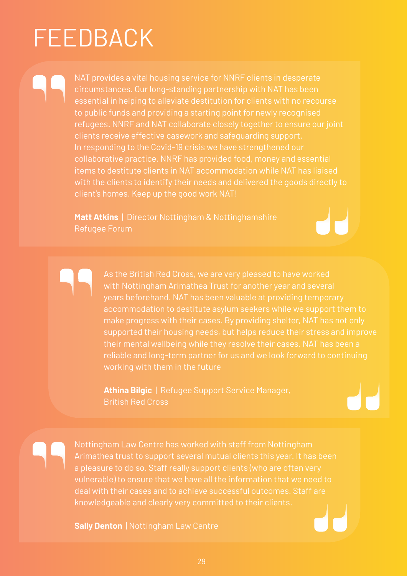# FEEDBACK

In responding to the Covid-19 crisis we have strengthened our client's homes. Keep up the good work NAT!

**Matt Atkins** | Director Nottingham & Nottinghamshire

reliable and long-term partner for us and we look forward to continuing

**Athina Bilgic** | Refugee Support Service Manager, British Red Cross

**Sally Denton** | Nottingham Law Centre